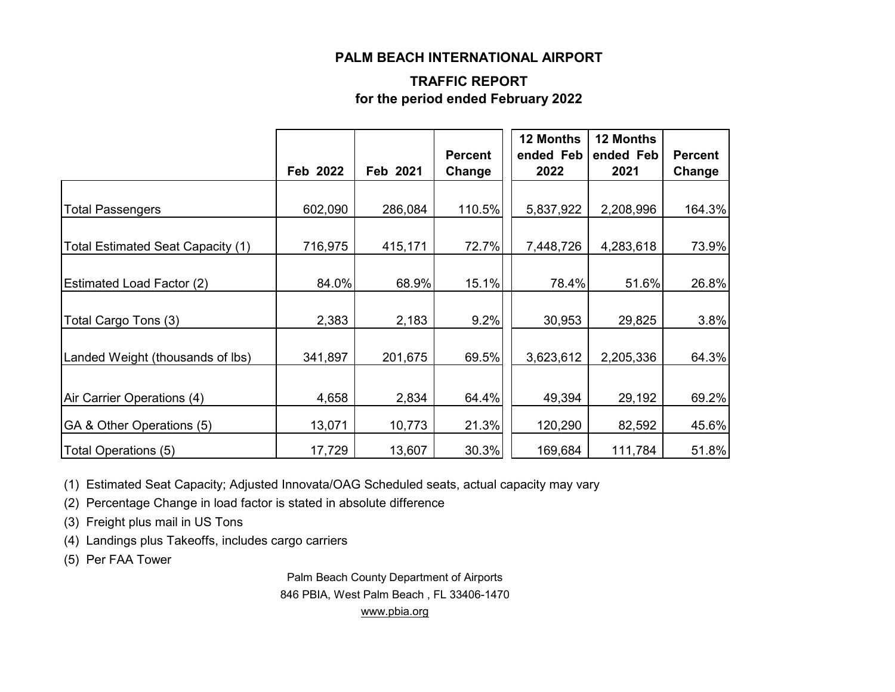#### **PALM BEACH INTERNATIONAL AIRPORT**

### **TRAFFIC REPORT for the period ended February 2022**

|                                   | Feb 2022 | Feb 2021 | <b>Percent</b><br>Change | 12 Months<br>ended Feb<br>2022 | <b>12 Months</b><br>ended Feb<br>2021 | <b>Percent</b><br>Change |
|-----------------------------------|----------|----------|--------------------------|--------------------------------|---------------------------------------|--------------------------|
|                                   |          |          |                          |                                |                                       |                          |
| <b>Total Passengers</b>           | 602,090  | 286,084  | 110.5%                   | 5,837,922                      | 2,208,996                             | 164.3%                   |
| Total Estimated Seat Capacity (1) | 716,975  | 415,171  | 72.7%                    | 7,448,726                      | 4,283,618                             | 73.9%                    |
| <b>Estimated Load Factor (2)</b>  | 84.0%    | 68.9%    | 15.1%                    | 78.4%                          | 51.6%                                 | 26.8%                    |
| Total Cargo Tons (3)              | 2,383    | 2,183    | 9.2%                     | 30,953                         | 29,825                                | 3.8%                     |
| Landed Weight (thousands of lbs)  | 341,897  | 201,675  | 69.5%                    | 3,623,612                      | 2,205,336                             | 64.3%                    |
| Air Carrier Operations (4)        | 4,658    | 2,834    | 64.4%                    | 49,394                         | 29,192                                | 69.2%                    |
| GA & Other Operations (5)         | 13,071   | 10,773   | 21.3%                    | 120,290                        | 82,592                                | 45.6%                    |
| Total Operations (5)              | 17,729   | 13,607   | 30.3%                    | 169,684                        | 111,784                               | 51.8%                    |

(1) Estimated Seat Capacity; Adjusted Innovata/OAG Scheduled seats, actual capacity may vary

(2) Percentage Change in load factor is stated in absolute difference

(3) Freight plus mail in US Tons

(4) Landings plus Takeoffs, includes cargo carriers

(5) Per FAA Tower

Palm Beach County Department of Airports 846 PBIA, West Palm Beach , FL 33406-1470 [www.pbia.org](http://www.pbia.org/)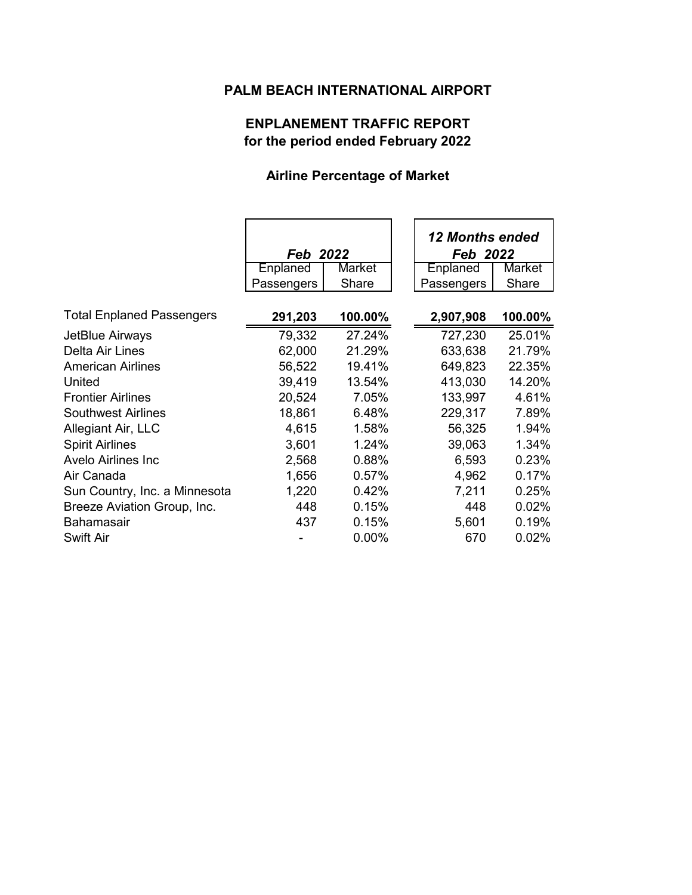## **PALM BEACH INTERNATIONAL AIRPORT**

# **ENPLANEMENT TRAFFIC REPORT for the period ended February 2022**

## **Airline Percentage of Market**

|                                  |            |          | <b>12 Months ended</b> |         |  |
|----------------------------------|------------|----------|------------------------|---------|--|
|                                  | Feb 2022   |          | Feb 2022               |         |  |
|                                  | Enplaned   | Market   | Enplaned               | Market  |  |
|                                  | Passengers | Share    | Passengers             | Share   |  |
| <b>Total Enplaned Passengers</b> | 291,203    | 100.00%  | 2,907,908              | 100.00% |  |
| JetBlue Airways                  | 79,332     | 27.24%   | 727,230                | 25.01%  |  |
| <b>Delta Air Lines</b>           | 62,000     | 21.29%   | 633,638                | 21.79%  |  |
| <b>American Airlines</b>         | 56,522     | 19.41%   | 649,823                | 22.35%  |  |
| United                           | 39,419     | 13.54%   | 413,030                | 14.20%  |  |
| <b>Frontier Airlines</b>         | 20,524     | 7.05%    | 133,997                | 4.61%   |  |
| <b>Southwest Airlines</b>        | 18,861     | 6.48%    | 229,317                | 7.89%   |  |
| Allegiant Air, LLC               | 4,615      | 1.58%    | 56,325                 | 1.94%   |  |
| <b>Spirit Airlines</b>           | 3,601      | 1.24%    | 39,063                 | 1.34%   |  |
| Avelo Airlines Inc               | 2,568      | 0.88%    | 6,593                  | 0.23%   |  |
| Air Canada                       | 1,656      | 0.57%    | 4,962                  | 0.17%   |  |
| Sun Country, Inc. a Minnesota    | 1,220      | 0.42%    | 7,211                  | 0.25%   |  |
| Breeze Aviation Group, Inc.      | 448        | 0.15%    | 448                    | 0.02%   |  |
| <b>Bahamasair</b>                | 437        | 0.15%    | 5,601                  | 0.19%   |  |
| Swift Air                        |            | $0.00\%$ | 670                    | 0.02%   |  |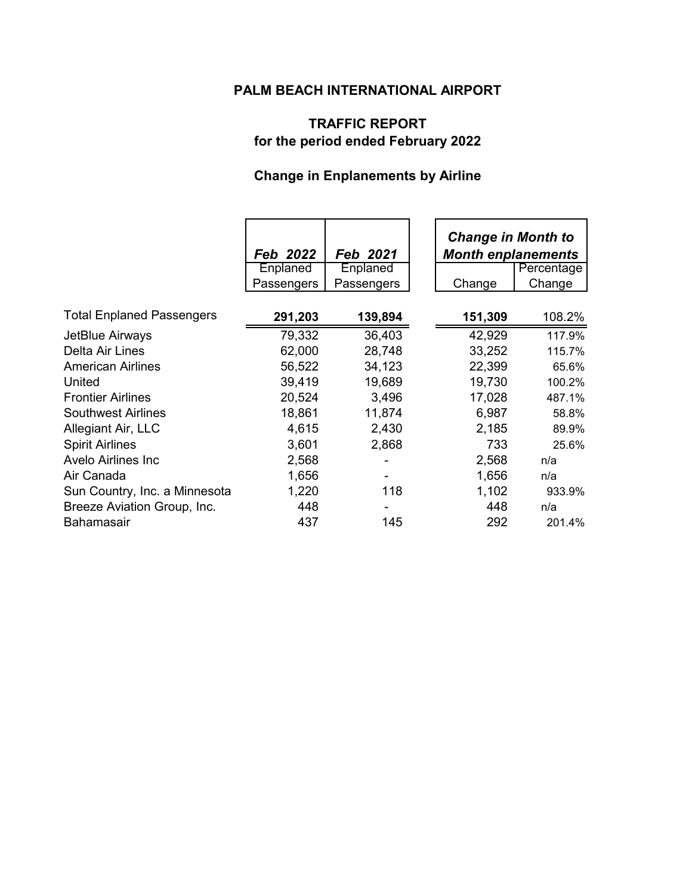## **PALM BEACH INTERNATIONAL AIRPORT**

# **TRAFFIC REPORT for the period ended February 2022**

# **Change in Enplanements by Airline**

|                                  | Feb 2022   | Feb 2021   | <b>Change in Month to</b><br><b>Month enplanements</b> |            |
|----------------------------------|------------|------------|--------------------------------------------------------|------------|
|                                  | Enplaned   | Enplaned   |                                                        | Percentage |
|                                  | Passengers | Passengers | Change                                                 | Change     |
| <b>Total Enplaned Passengers</b> | 291,203    | 139,894    | 151,309                                                | 108.2%     |
| JetBlue Airways                  | 79,332     | 36,403     | 42,929                                                 | 117.9%     |
| Delta Air Lines                  | 62,000     | 28,748     | 33,252                                                 | 115.7%     |
| <b>American Airlines</b>         | 56,522     | 34,123     | 22,399                                                 | 65.6%      |
| United                           | 39,419     | 19,689     | 19,730                                                 | 100.2%     |
| <b>Frontier Airlines</b>         | 20,524     | 3,496      | 17,028                                                 | 487.1%     |
| <b>Southwest Airlines</b>        | 18,861     | 11,874     | 6,987                                                  | 58.8%      |
| Allegiant Air, LLC               | 4,615      | 2,430      | 2,185                                                  | 89.9%      |
| <b>Spirit Airlines</b>           | 3,601      | 2,868      | 733                                                    | 25.6%      |
| <b>Avelo Airlines Inc.</b>       | 2,568      |            | 2,568                                                  | n/a        |
| Air Canada                       | 1,656      |            | 1,656                                                  | n/a        |
| Sun Country, Inc. a Minnesota    | 1,220      | 118        | 1,102                                                  | 933.9%     |
| Breeze Aviation Group, Inc.      | 448        |            | 448                                                    | n/a        |
| Bahamasair                       | 437        | 145        | 292                                                    | 201.4%     |